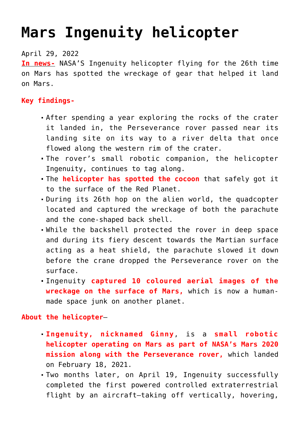## **[Mars Ingenuity helicopter](https://journalsofindia.com/mars-ingenuity-helicopter-2/)**

## April 29, 2022

**In news-** NASA'S Ingenuity helicopter flying for the 26th time on Mars has spotted the wreckage of gear that helped it land on Mars.

## **Key findings-**

- After spending a year exploring the rocks of the crater it landed in, the Perseverance rover passed near its landing site on its way to a river delta that once flowed along the western rim of the crater.
- The rover's small robotic companion, the helicopter Ingenuity, continues to tag along.
- The **helicopter has spotted the cocoon** that safely got it to the surface of the Red Planet.
- During its 26th hop on the alien world, the quadcopter located and captured the wreckage of both the parachute and the cone-shaped back shell.
- While the backshell protected the rover in deep space and during its fiery descent towards the Martian surface acting as a heat shield, the parachute slowed it down before the crane dropped the Perseverance rover on the surface.
- Ingenuity **captured 10 coloured aerial images of the wreckage on the surface of Mars,** which is now a humanmade space junk on another planet.

## **About the helicopter**–

- **Ingenuity, nicknamed Ginny**, is a **small robotic helicopter operating on Mars as part of NASA's Mars 2020 mission along with the Perseverance rover,** which landed on February 18, 2021.
- Two months later, on April 19, Ingenuity successfully completed the first powered controlled extraterrestrial flight by an aircraft—taking off vertically, hovering,